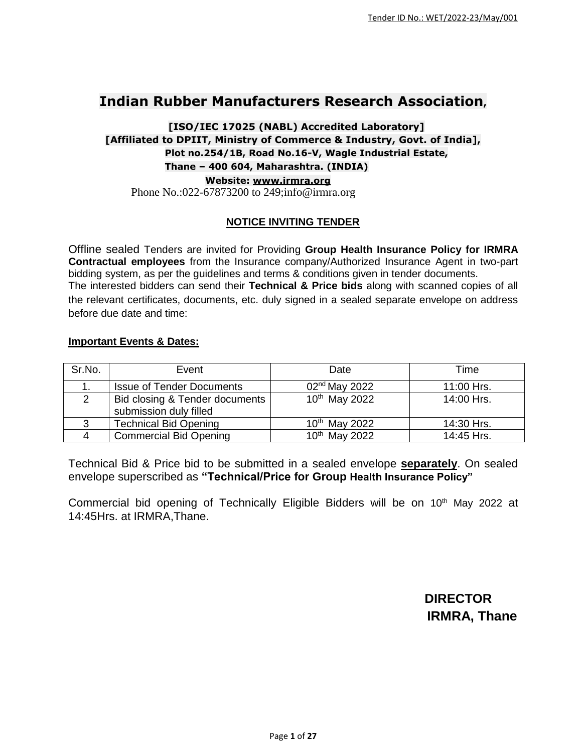## **Indian Rubber Manufacturers Research Association,**

## **[ISO/IEC 17025 (NABL) Accredited Laboratory] [Affiliated to DPIIT, Ministry of Commerce & Industry, Govt. of India], Plot no.254/1B, Road No.16-V, Wagle Industrial Estate, Thane – 400 604, Maharashtra. (INDIA) Website: [www.irmra.org](http://www.irmra.org/)** Phone No.:022-67873200 to 249;info@irmra.org

## **NOTICE INVITING TENDER**

Offline sealed Tenders are invited for Providing **Group Health Insurance Policy for IRMRA Contractual employees** from the Insurance company/Authorized Insurance Agent in two-part bidding system, as per the guidelines and terms & conditions given in tender documents. The interested bidders can send their **Technical & Price bids** along with scanned copies of all the relevant certificates, documents, etc. duly signed in a sealed separate envelope on address before due date and time:

## **Important Events & Dates:**

| Sr.No. | Event                                                      | Date                      | Time       |
|--------|------------------------------------------------------------|---------------------------|------------|
|        | <b>Issue of Tender Documents</b>                           | 02 <sup>nd</sup> May 2022 | 11:00 Hrs. |
|        | Bid closing & Tender documents  <br>submission duly filled | 10th May 2022             | 14:00 Hrs. |
|        | <b>Technical Bid Opening</b>                               | 10 <sup>th</sup> May 2022 | 14:30 Hrs. |
|        | <b>Commercial Bid Opening</b>                              | 10 <sup>th</sup> May 2022 | 14:45 Hrs. |

Technical Bid & Price bid to be submitted in a sealed envelope **separately**. On sealed envelope superscribed as **"Technical/Price for Group Health Insurance Policy"**

Commercial bid opening of Technically Eligible Bidders will be on 10<sup>th</sup> May 2022 at 14:45Hrs. at IRMRA,Thane.

> **DIRECTOR IRMRA, Thane**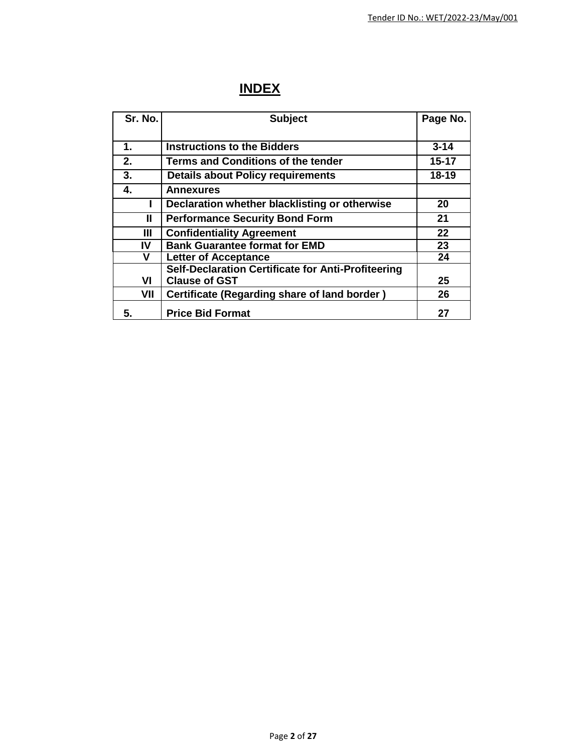# **INDEX**

| Sr. No. | <b>Subject</b>                                      | Page No.  |
|---------|-----------------------------------------------------|-----------|
|         |                                                     |           |
| 1.      | <b>Instructions to the Bidders</b>                  | $3 - 14$  |
| 2.      | <b>Terms and Conditions of the tender</b>           | $15 - 17$ |
| 3.      | <b>Details about Policy requirements</b>            | $18 - 19$ |
| 4.      | <b>Annexures</b>                                    |           |
|         | Declaration whether blacklisting or otherwise       | 20        |
| Ш       | <b>Performance Security Bond Form</b>               | 21        |
| Ш       | <b>Confidentiality Agreement</b>                    | 22        |
| IV      | <b>Bank Guarantee format for EMD</b>                | 23        |
| v       | <b>Letter of Acceptance</b>                         | 24        |
|         | Self-Declaration Certificate for Anti-Profiteering  |           |
| VI      | <b>Clause of GST</b>                                | 25        |
| VII     | <b>Certificate (Regarding share of land border)</b> | 26        |
| 5.      | <b>Price Bid Format</b>                             | 27        |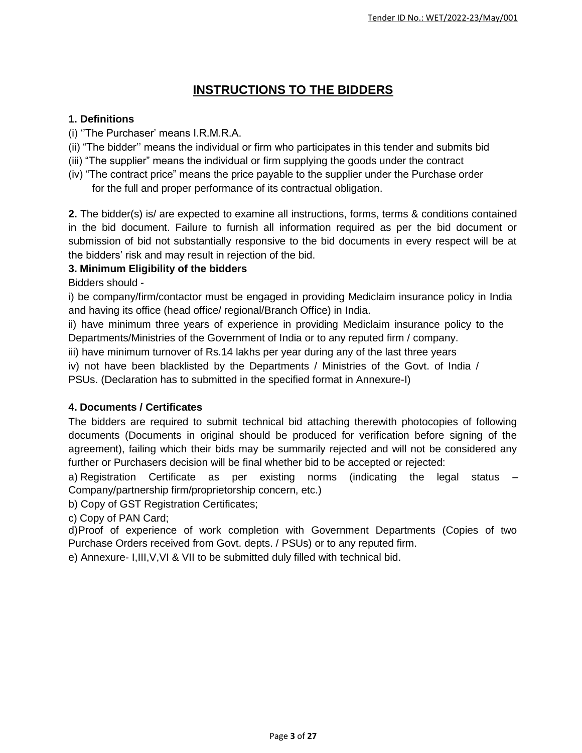## **INSTRUCTIONS TO THE BIDDERS**

## **1. Definitions**

- (i) ''The Purchaser' means I.R.M.R.A.
- (ii) "The bidder'' means the individual or firm who participates in this tender and submits bid
- (iii) "The supplier" means the individual or firm supplying the goods under the contract
- (iv) "The contract price" means the price payable to the supplier under the Purchase order for the full and proper performance of its contractual obligation.

**2.** The bidder(s) is/ are expected to examine all instructions, forms, terms & conditions contained in the bid document. Failure to furnish all information required as per the bid document or submission of bid not substantially responsive to the bid documents in every respect will be at the bidders' risk and may result in rejection of the bid.

## **3. Minimum Eligibility of the bidders**

Bidders should -

i) be company/firm/contactor must be engaged in providing Mediclaim insurance policy in India and having its office (head office/ regional/Branch Office) in India.

ii) have minimum three years of experience in providing Mediclaim insurance policy to the Departments/Ministries of the Government of India or to any reputed firm / company.

iii) have minimum turnover of Rs.14 lakhs per year during any of the last three years

iv) not have been blacklisted by the Departments / Ministries of the Govt. of India / PSUs. (Declaration has to submitted in the specified format in Annexure-I)

## **4. Documents / Certificates**

The bidders are required to submit technical bid attaching therewith photocopies of following documents (Documents in original should be produced for verification before signing of the agreement), failing which their bids may be summarily rejected and will not be considered any further or Purchasers decision will be final whether bid to be accepted or rejected:

a) Registration Certificate as per existing norms (indicating the legal status  $-$ Company/partnership firm/proprietorship concern, etc.)

b) Copy of GST Registration Certificates;

c) Copy of PAN Card;

d)Proof of experience of work completion with Government Departments (Copies of two Purchase Orders received from Govt. depts. / PSUs) or to any reputed firm.

e) Annexure- I,III,V,VI & VII to be submitted duly filled with technical bid.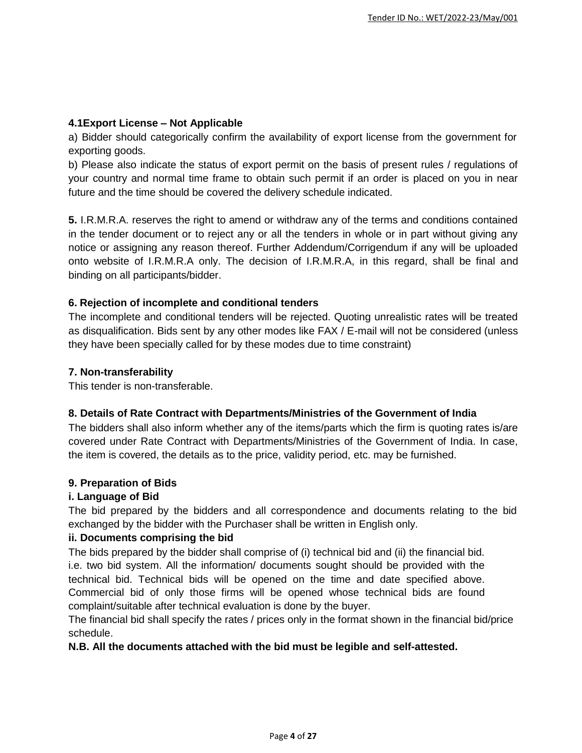### **4.1Export License – Not Applicable**

a) Bidder should categorically confirm the availability of export license from the government for exporting goods.

b) Please also indicate the status of export permit on the basis of present rules / regulations of your country and normal time frame to obtain such permit if an order is placed on you in near future and the time should be covered the delivery schedule indicated.

**5.** I.R.M.R.A. reserves the right to amend or withdraw any of the terms and conditions contained in the tender document or to reject any or all the tenders in whole or in part without giving any notice or assigning any reason thereof. Further Addendum/Corrigendum if any will be uploaded onto website of I.R.M.R.A only. The decision of I.R.M.R.A, in this regard, shall be final and binding on all participants/bidder.

## **6. Rejection of incomplete and conditional tenders**

The incomplete and conditional tenders will be rejected. Quoting unrealistic rates will be treated as disqualification. Bids sent by any other modes like FAX / E-mail will not be considered (unless they have been specially called for by these modes due to time constraint)

#### **7. Non-transferability**

This tender is non-transferable.

## **8. Details of Rate Contract with Departments/Ministries of the Government of India**

The bidders shall also inform whether any of the items/parts which the firm is quoting rates is/are covered under Rate Contract with Departments/Ministries of the Government of India. In case, the item is covered, the details as to the price, validity period, etc. may be furnished.

#### **9. Preparation of Bids**

## **i. Language of Bid**

The bid prepared by the bidders and all correspondence and documents relating to the bid exchanged by the bidder with the Purchaser shall be written in English only.

## **ii. Documents comprising the bid**

The bids prepared by the bidder shall comprise of (i) technical bid and (ii) the financial bid. i.e. two bid system. All the information/ documents sought should be provided with the technical bid. Technical bids will be opened on the time and date specified above. Commercial bid of only those firms will be opened whose technical bids are found complaint/suitable after technical evaluation is done by the buyer.

The financial bid shall specify the rates / prices only in the format shown in the financial bid/price schedule.

#### **N.B. All the documents attached with the bid must be legible and self-attested.**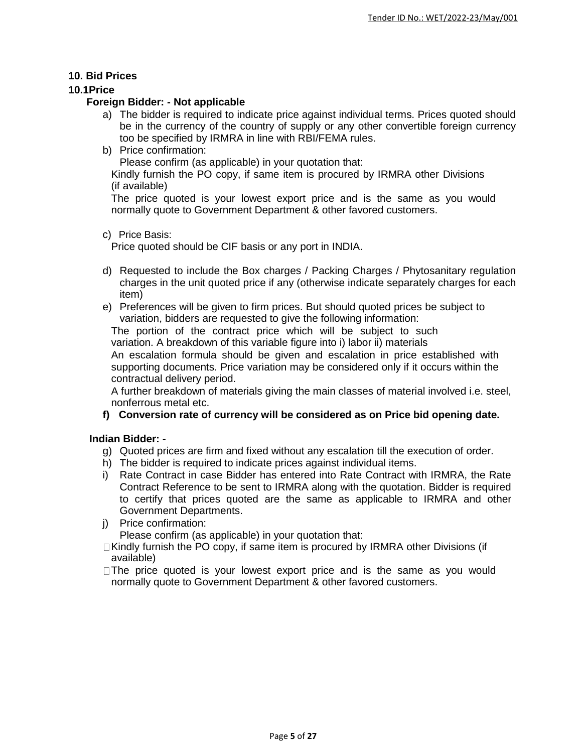#### **10. Bid Prices**

#### **10.1Price**

#### **Foreign Bidder: - Not applicable**

- a) The bidder is required to indicate price against individual terms. Prices quoted should be in the currency of the country of supply or any other convertible foreign currency too be specified by IRMRA in line with RBI/FEMA rules.
- b) Price confirmation:

Please confirm (as applicable) in your quotation that:

Kindly furnish the PO copy, if same item is procured by IRMRA other Divisions (if available)

The price quoted is your lowest export price and is the same as you would normally quote to Government Department & other favored customers.

#### c) Price Basis:

Price quoted should be CIF basis or any port in INDIA.

- d) Requested to include the Box charges / Packing Charges / Phytosanitary regulation charges in the unit quoted price if any (otherwise indicate separately charges for each item)
- e) Preferences will be given to firm prices. But should quoted prices be subject to variation, bidders are requested to give the following information:

The portion of the contract price which will be subject to such variation. A breakdown of this variable figure into i) labor ii) materials

An escalation formula should be given and escalation in price established with supporting documents. Price variation may be considered only if it occurs within the contractual delivery period.

A further breakdown of materials giving the main classes of material involved i.e. steel, nonferrous metal etc.

#### **f) Conversion rate of currency will be considered as on Price bid opening date.**

#### **Indian Bidder: -**

- g) Quoted prices are firm and fixed without any escalation till the execution of order.
- h) The bidder is required to indicate prices against individual items.
- i) Rate Contract in case Bidder has entered into Rate Contract with IRMRA, the Rate Contract Reference to be sent to IRMRA along with the quotation. Bidder is required to certify that prices quoted are the same as applicable to IRMRA and other Government Departments.
- j) Price confirmation:

Please confirm (as applicable) in your quotation that:

- $\Box$  Kindly furnish the PO copy, if same item is procured by IRMRA other Divisions (if available)
- $\Box$  The price quoted is your lowest export price and is the same as you would normally quote to Government Department & other favored customers.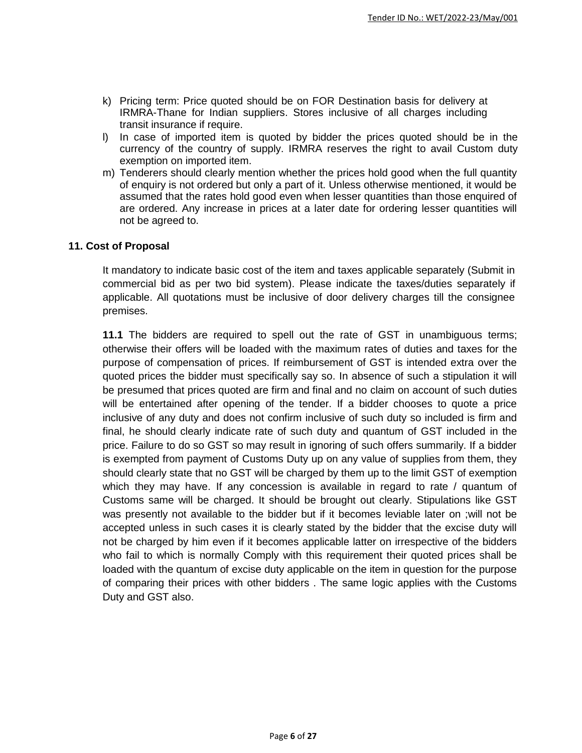- k) Pricing term: Price quoted should be on FOR Destination basis for delivery at IRMRA-Thane for Indian suppliers. Stores inclusive of all charges including transit insurance if require.
- l) In case of imported item is quoted by bidder the prices quoted should be in the currency of the country of supply. IRMRA reserves the right to avail Custom duty exemption on imported item.
- m) Tenderers should clearly mention whether the prices hold good when the full quantity of enquiry is not ordered but only a part of it. Unless otherwise mentioned, it would be assumed that the rates hold good even when lesser quantities than those enquired of are ordered. Any increase in prices at a later date for ordering lesser quantities will not be agreed to.

#### **11. Cost of Proposal**

It mandatory to indicate basic cost of the item and taxes applicable separately (Submit in commercial bid as per two bid system). Please indicate the taxes/duties separately if applicable. All quotations must be inclusive of door delivery charges till the consignee premises.

**11.1** The bidders are required to spell out the rate of GST in unambiguous terms; otherwise their offers will be loaded with the maximum rates of duties and taxes for the purpose of compensation of prices. If reimbursement of GST is intended extra over the quoted prices the bidder must specifically say so. In absence of such a stipulation it will be presumed that prices quoted are firm and final and no claim on account of such duties will be entertained after opening of the tender. If a bidder chooses to quote a price inclusive of any duty and does not confirm inclusive of such duty so included is firm and final, he should clearly indicate rate of such duty and quantum of GST included in the price. Failure to do so GST so may result in ignoring of such offers summarily. If a bidder is exempted from payment of Customs Duty up on any value of supplies from them, they should clearly state that no GST will be charged by them up to the limit GST of exemption which they may have. If any concession is available in regard to rate / quantum of Customs same will be charged. It should be brought out clearly. Stipulations like GST was presently not available to the bidder but if it becomes leviable later on ;will not be accepted unless in such cases it is clearly stated by the bidder that the excise duty will not be charged by him even if it becomes applicable latter on irrespective of the bidders who fail to which is normally Comply with this requirement their quoted prices shall be loaded with the quantum of excise duty applicable on the item in question for the purpose of comparing their prices with other bidders . The same logic applies with the Customs Duty and GST also.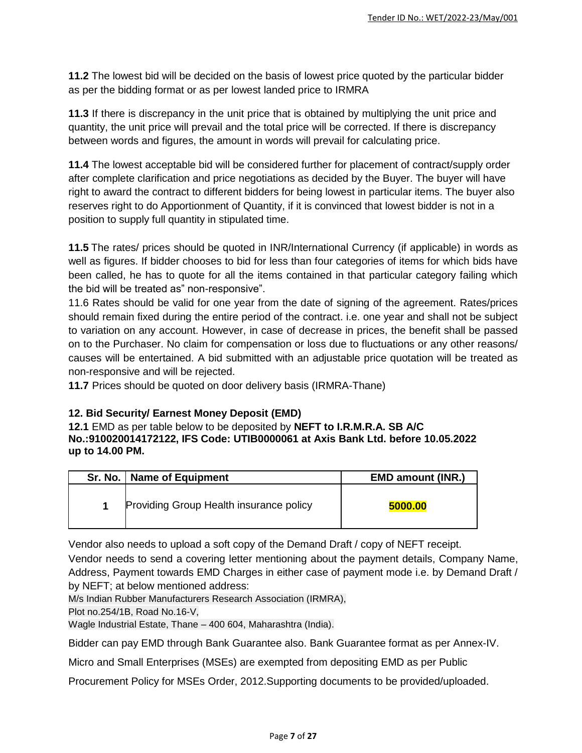**11.2** The lowest bid will be decided on the basis of lowest price quoted by the particular bidder as per the bidding format or as per lowest landed price to IRMRA

**11.3** If there is discrepancy in the unit price that is obtained by multiplying the unit price and quantity, the unit price will prevail and the total price will be corrected. If there is discrepancy between words and figures, the amount in words will prevail for calculating price.

**11.4** The lowest acceptable bid will be considered further for placement of contract/supply order after complete clarification and price negotiations as decided by the Buyer. The buyer will have right to award the contract to different bidders for being lowest in particular items. The buyer also reserves right to do Apportionment of Quantity, if it is convinced that lowest bidder is not in a position to supply full quantity in stipulated time.

**11.5** The rates/ prices should be quoted in INR/International Currency (if applicable) in words as well as figures. If bidder chooses to bid for less than four categories of items for which bids have been called, he has to quote for all the items contained in that particular category failing which the bid will be treated as" non-responsive".

11.6 Rates should be valid for one year from the date of signing of the agreement. Rates/prices should remain fixed during the entire period of the contract. i.e. one year and shall not be subject to variation on any account. However, in case of decrease in prices, the benefit shall be passed on to the Purchaser. No claim for compensation or loss due to fluctuations or any other reasons/ causes will be entertained. A bid submitted with an adjustable price quotation will be treated as non-responsive and will be rejected.

**11.7** Prices should be quoted on door delivery basis (IRMRA-Thane)

## **12. Bid Security/ Earnest Money Deposit (EMD)**

**12.1** EMD as per table below to be deposited by **NEFT to I.R.M.R.A. SB A/C No.:910020014172122, IFS Code: UTIB0000061 at Axis Bank Ltd. before 10.05.2022 up to 14.00 PM.**

| Sr. No.   Name of Equipment             | <b>EMD amount (INR.)</b> |
|-----------------------------------------|--------------------------|
| Providing Group Health insurance policy | 5000.00                  |

Vendor also needs to upload a soft copy of the Demand Draft / copy of NEFT receipt.

Vendor needs to send a covering letter mentioning about the payment details, Company Name, Address, Payment towards EMD Charges in either case of payment mode i.e. by Demand Draft / by NEFT; at below mentioned address:

M/s Indian Rubber Manufacturers Research Association (IRMRA),

Plot no.254/1B, Road No.16-V,

Wagle Industrial Estate, Thane – 400 604, Maharashtra (India).

Bidder can pay EMD through Bank Guarantee also. Bank Guarantee format as per Annex-IV.

Micro and Small Enterprises (MSEs) are exempted from depositing EMD as per Public

Procurement Policy for MSEs Order, 2012.Supporting documents to be provided/uploaded.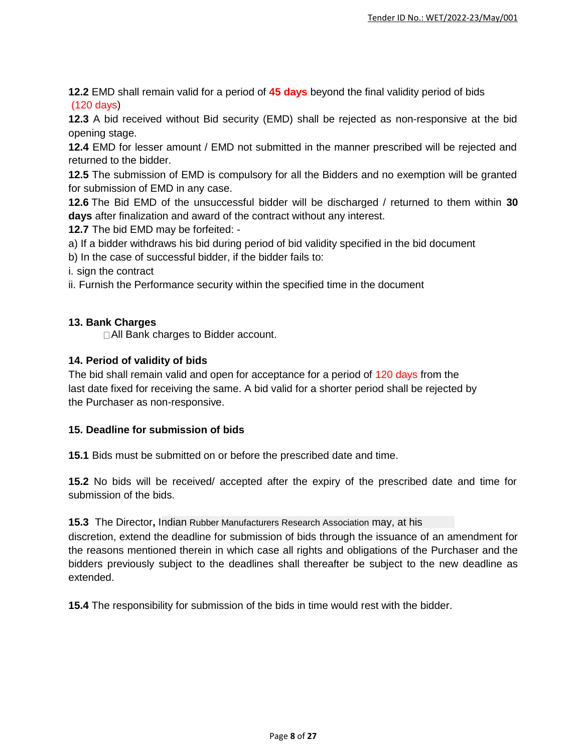**12.2** EMD shall remain valid for a period of **45 days** beyond the final validity period of bids (120 days)

**12.3** A bid received without Bid security (EMD) shall be rejected as non-responsive at the bid opening stage.

**12.4** EMD for lesser amount / EMD not submitted in the manner prescribed will be rejected and returned to the bidder.

**12.5** The submission of EMD is compulsory for all the Bidders and no exemption will be granted for submission of EMD in any case.

**12.6** The Bid EMD of the unsuccessful bidder will be discharged / returned to them within **30 days** after finalization and award of the contract without any interest.

**12.7** The bid EMD may be forfeited: -

a) If a bidder withdraws his bid during period of bid validity specified in the bid document

b) In the case of successful bidder, if the bidder fails to:

i. sign the contract

ii. Furnish the Performance security within the specified time in the document

#### **13. Bank Charges**

□ All Bank charges to Bidder account.

#### **14. Period of validity of bids**

The bid shall remain valid and open for acceptance for a period of 120 days from the last date fixed for receiving the same. A bid valid for a shorter period shall be rejected by the Purchaser as non-responsive.

#### **15. Deadline for submission of bids**

**15.1** Bids must be submitted on or before the prescribed date and time.

**15.2** No bids will be received/ accepted after the expiry of the prescribed date and time for submission of the bids.

#### **15.3** The Director**,** Indian Rubber Manufacturers Research Association may, at his

discretion, extend the deadline for submission of bids through the issuance of an amendment for the reasons mentioned therein in which case all rights and obligations of the Purchaser and the bidders previously subject to the deadlines shall thereafter be subject to the new deadline as extended.

**15.4** The responsibility for submission of the bids in time would rest with the bidder.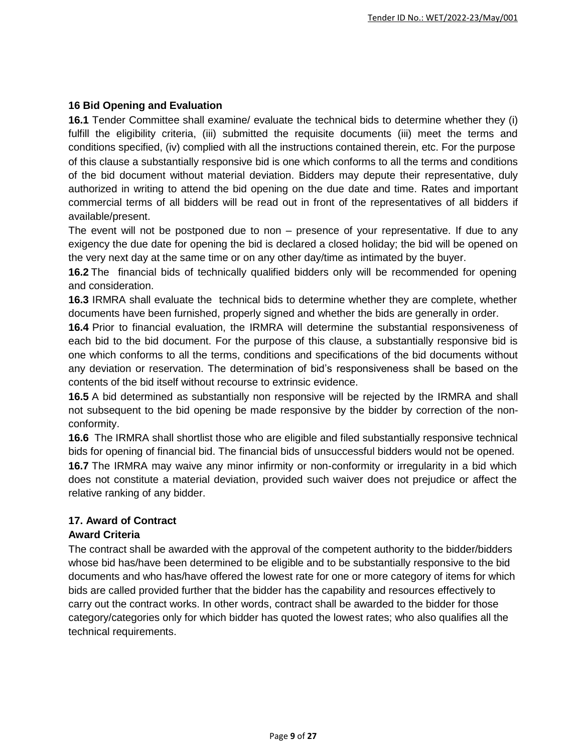#### **16 Bid Opening and Evaluation**

**16.1** Tender Committee shall examine/ evaluate the technical bids to determine whether they (i) fulfill the eligibility criteria, (iii) submitted the requisite documents (iii) meet the terms and conditions specified, (iv) complied with all the instructions contained therein, etc. For the purpose of this clause a substantially responsive bid is one which conforms to all the terms and conditions of the bid document without material deviation. Bidders may depute their representative, duly authorized in writing to attend the bid opening on the due date and time. Rates and important commercial terms of all bidders will be read out in front of the representatives of all bidders if available/present.

The event will not be postponed due to non – presence of your representative. If due to any exigency the due date for opening the bid is declared a closed holiday; the bid will be opened on the very next day at the same time or on any other day/time as intimated by the buyer.

**16.2** The financial bids of technically qualified bidders only will be recommended for opening and consideration.

**16.3** IRMRA shall evaluate the technical bids to determine whether they are complete, whether documents have been furnished, properly signed and whether the bids are generally in order.

**16.4** Prior to financial evaluation, the IRMRA will determine the substantial responsiveness of each bid to the bid document. For the purpose of this clause, a substantially responsive bid is one which conforms to all the terms, conditions and specifications of the bid documents without any deviation or reservation. The determination of bid's responsiveness shall be based on the contents of the bid itself without recourse to extrinsic evidence.

**16.5** A bid determined as substantially non responsive will be rejected by the IRMRA and shall not subsequent to the bid opening be made responsive by the bidder by correction of the nonconformity.

**16.6** The IRMRA shall shortlist those who are eligible and filed substantially responsive technical bids for opening of financial bid. The financial bids of unsuccessful bidders would not be opened. **16.7** The IRMRA may waive any minor infirmity or non-conformity or irregularity in a bid which does not constitute a material deviation, provided such waiver does not prejudice or affect the relative ranking of any bidder.

## **17. Award of Contract**

#### **Award Criteria**

The contract shall be awarded with the approval of the competent authority to the bidder/bidders whose bid has/have been determined to be eligible and to be substantially responsive to the bid documents and who has/have offered the lowest rate for one or more category of items for which bids are called provided further that the bidder has the capability and resources effectively to carry out the contract works. In other words, contract shall be awarded to the bidder for those category/categories only for which bidder has quoted the lowest rates; who also qualifies all the technical requirements.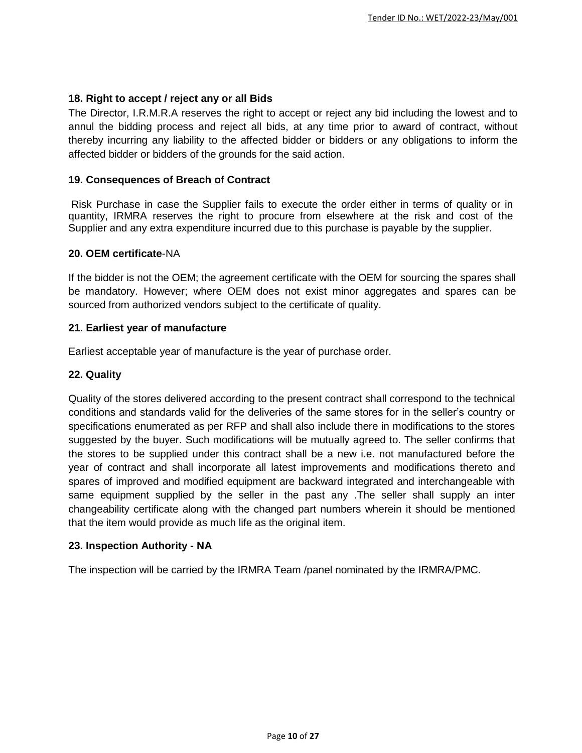#### **18. Right to accept / reject any or all Bids**

The Director, I.R.M.R.A reserves the right to accept or reject any bid including the lowest and to annul the bidding process and reject all bids, at any time prior to award of contract, without thereby incurring any liability to the affected bidder or bidders or any obligations to inform the affected bidder or bidders of the grounds for the said action.

#### **19. Consequences of Breach of Contract**

Risk Purchase in case the Supplier fails to execute the order either in terms of quality or in quantity, IRMRA reserves the right to procure from elsewhere at the risk and cost of the Supplier and any extra expenditure incurred due to this purchase is payable by the supplier.

#### **20. OEM certificate**-NA

If the bidder is not the OEM; the agreement certificate with the OEM for sourcing the spares shall be mandatory. However; where OEM does not exist minor aggregates and spares can be sourced from authorized vendors subject to the certificate of quality.

#### **21. Earliest year of manufacture**

Earliest acceptable year of manufacture is the year of purchase order.

#### **22. Quality**

Quality of the stores delivered according to the present contract shall correspond to the technical conditions and standards valid for the deliveries of the same stores for in the seller's country or specifications enumerated as per RFP and shall also include there in modifications to the stores suggested by the buyer. Such modifications will be mutually agreed to. The seller confirms that the stores to be supplied under this contract shall be a new i.e. not manufactured before the year of contract and shall incorporate all latest improvements and modifications thereto and spares of improved and modified equipment are backward integrated and interchangeable with same equipment supplied by the seller in the past any .The seller shall supply an inter changeability certificate along with the changed part numbers wherein it should be mentioned that the item would provide as much life as the original item.

#### **23. Inspection Authority - NA**

The inspection will be carried by the IRMRA Team /panel nominated by the IRMRA/PMC.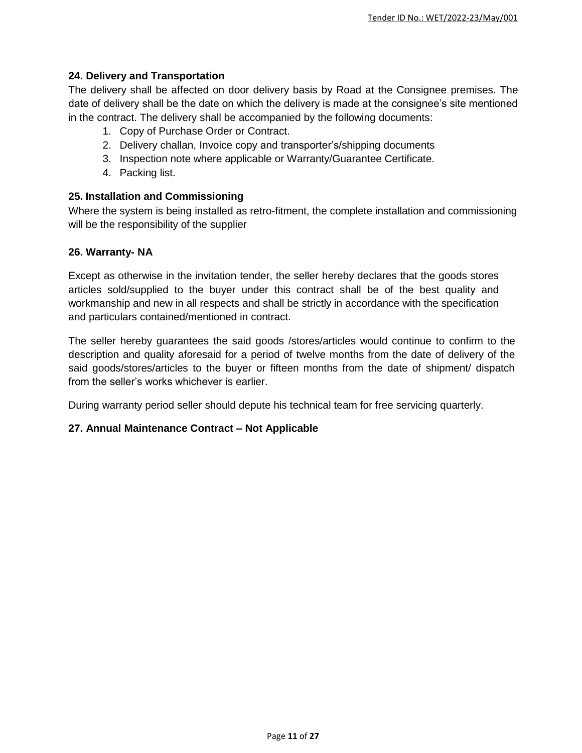### **24. Delivery and Transportation**

The delivery shall be affected on door delivery basis by Road at the Consignee premises. The date of delivery shall be the date on which the delivery is made at the consignee's site mentioned in the contract. The delivery shall be accompanied by the following documents:

- 1. Copy of Purchase Order or Contract.
- 2. Delivery challan, Invoice copy and transporter's/shipping documents
- 3. Inspection note where applicable or Warranty/Guarantee Certificate.
- 4. Packing list.

#### **25. Installation and Commissioning**

Where the system is being installed as retro-fitment, the complete installation and commissioning will be the responsibility of the supplier

#### **26. Warranty- NA**

Except as otherwise in the invitation tender, the seller hereby declares that the goods stores articles sold/supplied to the buyer under this contract shall be of the best quality and workmanship and new in all respects and shall be strictly in accordance with the specification and particulars contained/mentioned in contract.

The seller hereby guarantees the said goods /stores/articles would continue to confirm to the description and quality aforesaid for a period of twelve months from the date of delivery of the said goods/stores/articles to the buyer or fifteen months from the date of shipment/ dispatch from the seller's works whichever is earlier.

During warranty period seller should depute his technical team for free servicing quarterly.

#### **27. Annual Maintenance Contract – Not Applicable**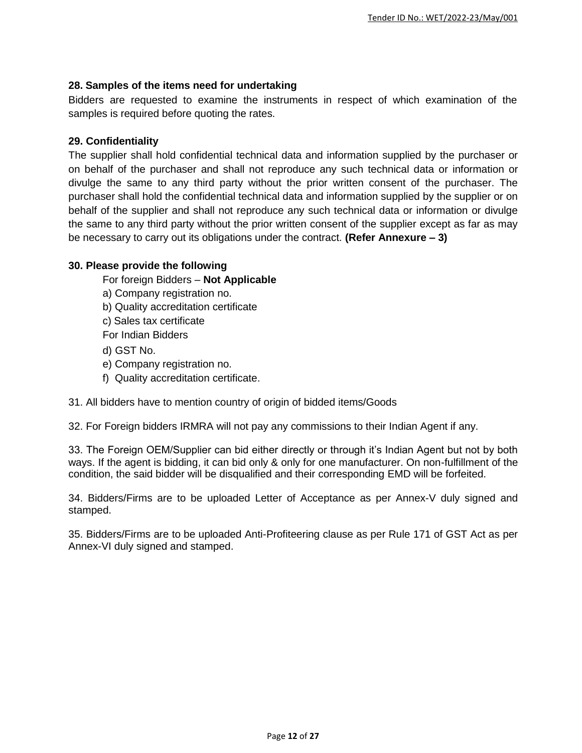#### **28. Samples of the items need for undertaking**

Bidders are requested to examine the instruments in respect of which examination of the samples is required before quoting the rates.

### **29. Confidentiality**

The supplier shall hold confidential technical data and information supplied by the purchaser or on behalf of the purchaser and shall not reproduce any such technical data or information or divulge the same to any third party without the prior written consent of the purchaser. The purchaser shall hold the confidential technical data and information supplied by the supplier or on behalf of the supplier and shall not reproduce any such technical data or information or divulge the same to any third party without the prior written consent of the supplier except as far as may be necessary to carry out its obligations under the contract. **(Refer Annexure – 3)**

#### **30. Please provide the following**

For foreign Bidders – **Not Applicable**

a) Company registration no.

b) Quality accreditation certificate

c) Sales tax certificate

For Indian Bidders

- d) GST No.
- e) Company registration no.
- f) Quality accreditation certificate.

31. All bidders have to mention country of origin of bidded items/Goods

32. For Foreign bidders IRMRA will not pay any commissions to their Indian Agent if any.

33. The Foreign OEM/Supplier can bid either directly or through it's Indian Agent but not by both ways. If the agent is bidding, it can bid only & only for one manufacturer. On non-fulfillment of the condition, the said bidder will be disqualified and their corresponding EMD will be forfeited.

34. Bidders/Firms are to be uploaded Letter of Acceptance as per Annex-V duly signed and stamped.

35. Bidders/Firms are to be uploaded Anti-Profiteering clause as per Rule 171 of GST Act as per Annex-VI duly signed and stamped.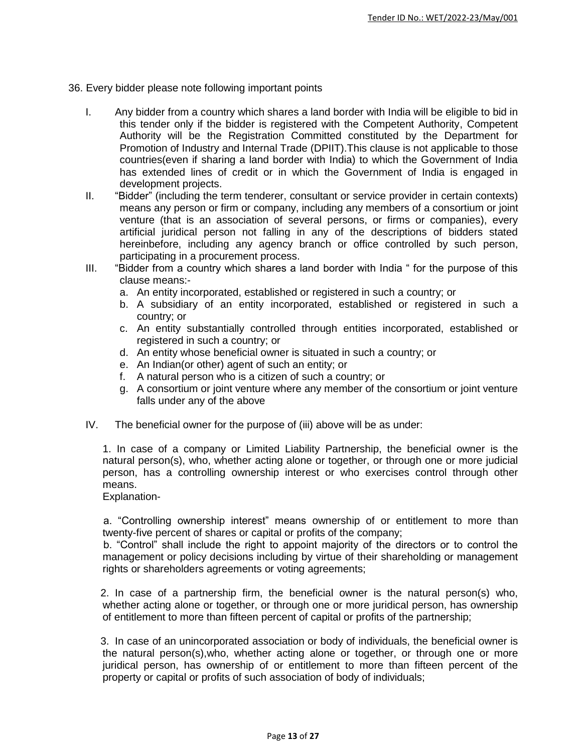- 36. Every bidder please note following important points
	- I. Any bidder from a country which shares a land border with India will be eligible to bid in this tender only if the bidder is registered with the Competent Authority, Competent Authority will be the Registration Committed constituted by the Department for Promotion of Industry and Internal Trade (DPIIT).This clause is not applicable to those countries(even if sharing a land border with India) to which the Government of India has extended lines of credit or in which the Government of India is engaged in development projects.
	- II. "Bidder" (including the term tenderer, consultant or service provider in certain contexts) means any person or firm or company, including any members of a consortium or joint venture (that is an association of several persons, or firms or companies), every artificial juridical person not falling in any of the descriptions of bidders stated hereinbefore, including any agency branch or office controlled by such person, participating in a procurement process.
	- III. "Bidder from a country which shares a land border with India " for the purpose of this clause means:
		- a. An entity incorporated, established or registered in such a country; or
		- b. A subsidiary of an entity incorporated, established or registered in such a country; or
		- c. An entity substantially controlled through entities incorporated, established or registered in such a country; or
		- d. An entity whose beneficial owner is situated in such a country; or
		- e. An Indian(or other) agent of such an entity; or
		- f. A natural person who is a citizen of such a country; or
		- g. A consortium or joint venture where any member of the consortium or joint venture falls under any of the above
	- IV. The beneficial owner for the purpose of (iii) above will be as under:

1. In case of a company or Limited Liability Partnership, the beneficial owner is the natural person(s), who, whether acting alone or together, or through one or more judicial person, has a controlling ownership interest or who exercises control through other means.

Explanation-

 a. "Controlling ownership interest" means ownership of or entitlement to more than twenty-five percent of shares or capital or profits of the company;

 b. "Control" shall include the right to appoint majority of the directors or to control the management or policy decisions including by virtue of their shareholding or management rights or shareholders agreements or voting agreements;

 2. In case of a partnership firm, the beneficial owner is the natural person(s) who, whether acting alone or together, or through one or more juridical person, has ownership of entitlement to more than fifteen percent of capital or profits of the partnership;

 3. In case of an unincorporated association or body of individuals, the beneficial owner is the natural person(s),who, whether acting alone or together, or through one or more juridical person, has ownership of or entitlement to more than fifteen percent of the property or capital or profits of such association of body of individuals;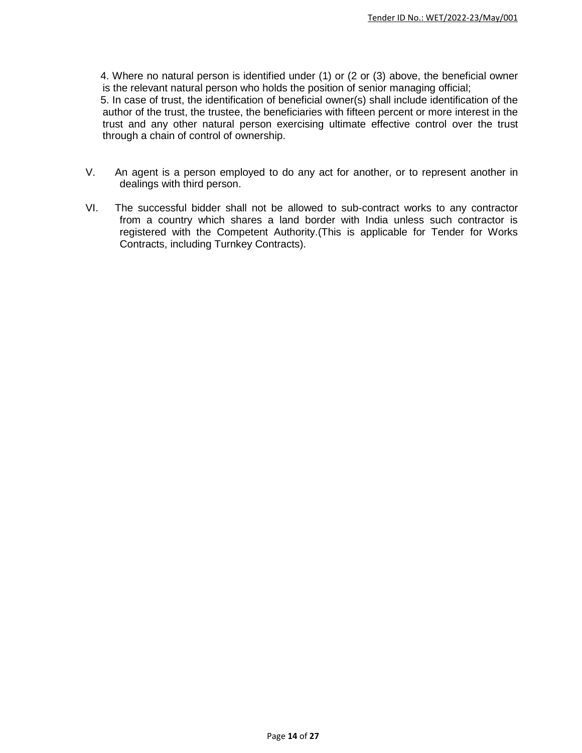4. Where no natural person is identified under (1) or (2 or (3) above, the beneficial owner is the relevant natural person who holds the position of senior managing official;

 5. In case of trust, the identification of beneficial owner(s) shall include identification of the author of the trust, the trustee, the beneficiaries with fifteen percent or more interest in the trust and any other natural person exercising ultimate effective control over the trust through a chain of control of ownership.

- V. An agent is a person employed to do any act for another, or to represent another in dealings with third person.
- VI. The successful bidder shall not be allowed to sub-contract works to any contractor from a country which shares a land border with India unless such contractor is registered with the Competent Authority.(This is applicable for Tender for Works Contracts, including Turnkey Contracts).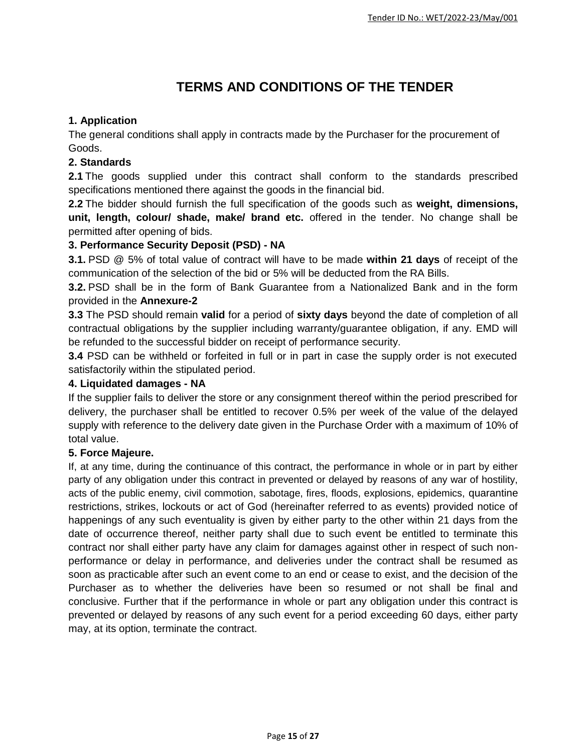# **TERMS AND CONDITIONS OF THE TENDER**

## **1. Application**

The general conditions shall apply in contracts made by the Purchaser for the procurement of Goods.

## **2. Standards**

**2.1** The goods supplied under this contract shall conform to the standards prescribed specifications mentioned there against the goods in the financial bid.

**2.2** The bidder should furnish the full specification of the goods such as **weight, dimensions, unit, length, colour/ shade, make/ brand etc.** offered in the tender. No change shall be permitted after opening of bids.

## **3. Performance Security Deposit (PSD) - NA**

**3.1.** PSD @ 5% of total value of contract will have to be made **within 21 days** of receipt of the communication of the selection of the bid or 5% will be deducted from the RA Bills.

**3.2.** PSD shall be in the form of Bank Guarantee from a Nationalized Bank and in the form provided in the **Annexure-2**

**3.3** The PSD should remain **valid** for a period of **sixty days** beyond the date of completion of all contractual obligations by the supplier including warranty/guarantee obligation, if any. EMD will be refunded to the successful bidder on receipt of performance security.

**3.4** PSD can be withheld or forfeited in full or in part in case the supply order is not executed satisfactorily within the stipulated period.

## **4. Liquidated damages - NA**

If the supplier fails to deliver the store or any consignment thereof within the period prescribed for delivery, the purchaser shall be entitled to recover 0.5% per week of the value of the delayed supply with reference to the delivery date given in the Purchase Order with a maximum of 10% of total value.

## **5. Force Majeure.**

If, at any time, during the continuance of this contract, the performance in whole or in part by either party of any obligation under this contract in prevented or delayed by reasons of any war of hostility, acts of the public enemy, civil commotion, sabotage, fires, floods, explosions, epidemics, quarantine restrictions, strikes, lockouts or act of God (hereinafter referred to as events) provided notice of happenings of any such eventuality is given by either party to the other within 21 days from the date of occurrence thereof, neither party shall due to such event be entitled to terminate this contract nor shall either party have any claim for damages against other in respect of such nonperformance or delay in performance, and deliveries under the contract shall be resumed as soon as practicable after such an event come to an end or cease to exist, and the decision of the Purchaser as to whether the deliveries have been so resumed or not shall be final and conclusive. Further that if the performance in whole or part any obligation under this contract is prevented or delayed by reasons of any such event for a period exceeding 60 days, either party may, at its option, terminate the contract.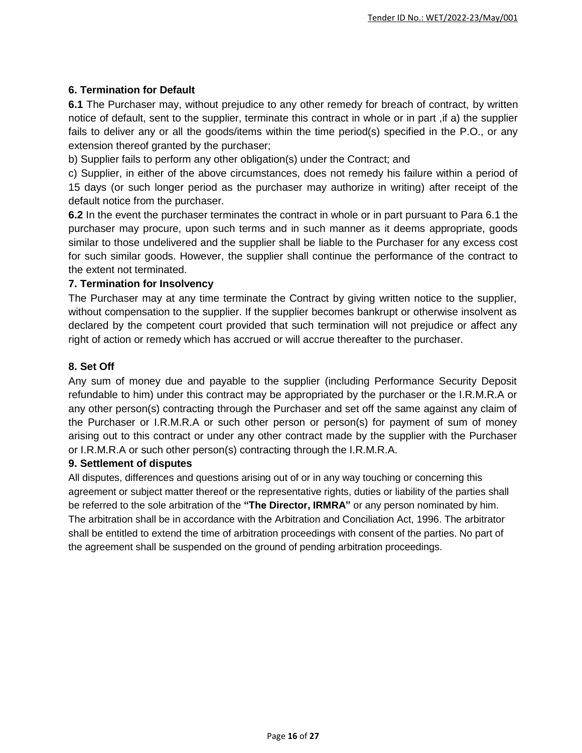### **6. Termination for Default**

**6.1** The Purchaser may, without prejudice to any other remedy for breach of contract, by written notice of default, sent to the supplier, terminate this contract in whole or in part ,if a) the supplier fails to deliver any or all the goods/items within the time period(s) specified in the P.O., or any extension thereof granted by the purchaser;

b) Supplier fails to perform any other obligation(s) under the Contract; and

c) Supplier, in either of the above circumstances, does not remedy his failure within a period of 15 days (or such longer period as the purchaser may authorize in writing) after receipt of the default notice from the purchaser.

**6.2** In the event the purchaser terminates the contract in whole or in part pursuant to Para 6.1 the purchaser may procure, upon such terms and in such manner as it deems appropriate, goods similar to those undelivered and the supplier shall be liable to the Purchaser for any excess cost for such similar goods. However, the supplier shall continue the performance of the contract to the extent not terminated.

#### **7. Termination for Insolvency**

The Purchaser may at any time terminate the Contract by giving written notice to the supplier, without compensation to the supplier. If the supplier becomes bankrupt or otherwise insolvent as declared by the competent court provided that such termination will not prejudice or affect any right of action or remedy which has accrued or will accrue thereafter to the purchaser.

#### **8. Set Off**

Any sum of money due and payable to the supplier (including Performance Security Deposit refundable to him) under this contract may be appropriated by the purchaser or the I.R.M.R.A or any other person(s) contracting through the Purchaser and set off the same against any claim of the Purchaser or I.R.M.R.A or such other person or person(s) for payment of sum of money arising out to this contract or under any other contract made by the supplier with the Purchaser or I.R.M.R.A or such other person(s) contracting through the I.R.M.R.A.

#### **9. Settlement of disputes**

All disputes, differences and questions arising out of or in any way touching or concerning this agreement or subject matter thereof or the representative rights, duties or liability of the parties shall be referred to the sole arbitration of the **"The Director, IRMRA"** or any person nominated by him. The arbitration shall be in accordance with the Arbitration and Conciliation Act, 1996. The arbitrator shall be entitled to extend the time of arbitration proceedings with consent of the parties. No part of the agreement shall be suspended on the ground of pending arbitration proceedings.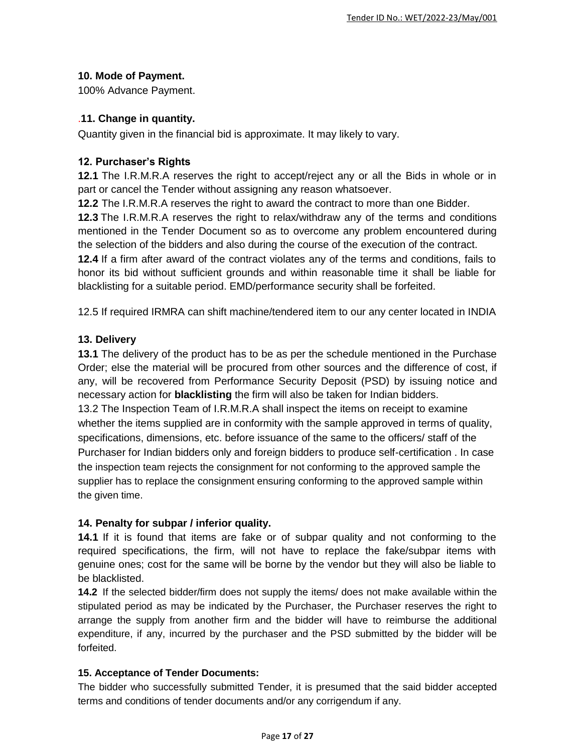## **10. Mode of Payment.**

100% Advance Payment.

### .**11. Change in quantity.**

Quantity given in the financial bid is approximate. It may likely to vary.

### **12. Purchaser's Rights**

**12.1** The I.R.M.R.A reserves the right to accept/reject any or all the Bids in whole or in part or cancel the Tender without assigning any reason whatsoever.

**12.2** The I.R.M.R.A reserves the right to award the contract to more than one Bidder.

**12.3** The I.R.M.R.A reserves the right to relax/withdraw any of the terms and conditions mentioned in the Tender Document so as to overcome any problem encountered during the selection of the bidders and also during the course of the execution of the contract.

**12.4** If a firm after award of the contract violates any of the terms and conditions, fails to honor its bid without sufficient grounds and within reasonable time it shall be liable for blacklisting for a suitable period. EMD/performance security shall be forfeited.

12.5 If required IRMRA can shift machine/tendered item to our any center located in INDIA

## **13. Delivery**

**13.1** The delivery of the product has to be as per the schedule mentioned in the Purchase Order; else the material will be procured from other sources and the difference of cost, if any, will be recovered from Performance Security Deposit (PSD) by issuing notice and necessary action for **blacklisting** the firm will also be taken for Indian bidders.

13.2 The Inspection Team of I.R.M.R.A shall inspect the items on receipt to examine whether the items supplied are in conformity with the sample approved in terms of quality, specifications, dimensions, etc. before issuance of the same to the officers/ staff of the Purchaser for Indian bidders only and foreign bidders to produce self-certification . In case the inspection team rejects the consignment for not conforming to the approved sample the supplier has to replace the consignment ensuring conforming to the approved sample within the given time.

## **14. Penalty for subpar / inferior quality.**

**14.1** If it is found that items are fake or of subpar quality and not conforming to the required specifications, the firm, will not have to replace the fake/subpar items with genuine ones; cost for the same will be borne by the vendor but they will also be liable to be blacklisted.

**14.2** If the selected bidder/firm does not supply the items/ does not make available within the stipulated period as may be indicated by the Purchaser, the Purchaser reserves the right to arrange the supply from another firm and the bidder will have to reimburse the additional expenditure, if any, incurred by the purchaser and the PSD submitted by the bidder will be forfeited.

## **15. Acceptance of Tender Documents:**

The bidder who successfully submitted Tender, it is presumed that the said bidder accepted terms and conditions of tender documents and/or any corrigendum if any.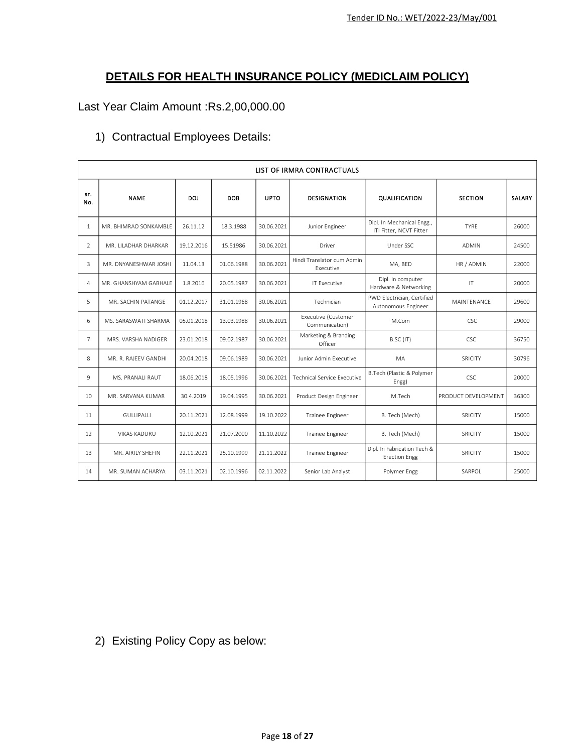## **DETAILS FOR HEALTH INSURANCE POLICY (MEDICLAIM POLICY)**

## Last Year Claim Amount :Rs.2,00,000.00

|                | LIST OF IRMRA CONTRACTUALS |            |            |             |                                         |                                                       |                     |        |  |
|----------------|----------------------------|------------|------------|-------------|-----------------------------------------|-------------------------------------------------------|---------------------|--------|--|
| Sr.<br>No.     | <b>NAME</b>                | DOJ        | DOB        | <b>UPTO</b> | <b>DESIGNATION</b>                      | QUALIFICATION                                         | <b>SECTION</b>      | SALARY |  |
| $\mathbf{1}$   | MR. BHIMRAO SONKAMBLE      | 26.11.12   | 18.3.1988  | 30.06.2021  | Junior Engineer                         | Dipl. In Mechanical Engg.,<br>ITI Fitter, NCVT Fitter | <b>TYRE</b>         | 26000  |  |
| $\overline{2}$ | MR. LILADHAR DHARKAR       | 19.12.2016 | 15.51986   | 30.06.2021  | Driver                                  | Under SSC                                             | <b>ADMIN</b>        | 24500  |  |
| 3              | MR. DNYANESHWAR JOSHI      | 11.04.13   | 01.06.1988 | 30.06.2021  | Hindi Translator cum Admin<br>Executive | MA, BED                                               | HR / ADMIN          | 22000  |  |
| 4              | MR. GHANSHYAM GABHALE      | 1.8.2016   | 20.05.1987 | 30.06.2021  | IT Executive                            | Dipl. In computer<br>Hardware & Networking            | IT                  | 20000  |  |
| 5.             | MR. SACHIN PATANGE         | 01.12.2017 | 31.01.1968 | 30.06.2021  | Technician                              | PWD Electrician, Certified<br>Autonomous Engineer     | MAINTENANCE         | 29600  |  |
| 6              | MS. SARASWATI SHARMA       | 05.01.2018 | 13.03.1988 | 30.06.2021  | Executive (Customer<br>Communication)   | M.Com                                                 | <b>CSC</b>          | 29000  |  |
| $\overline{7}$ | MRS. VARSHA NADIGER        | 23.01.2018 | 09.02.1987 | 30.06.2021  | Marketing & Branding<br>Officer         | B.SC (IT)                                             | <b>CSC</b>          | 36750  |  |
| 8              | MR. R. RAJEEV GANDHI       | 20.04.2018 | 09.06.1989 | 30.06.2021  | Junior Admin Executive                  | MA                                                    | SRICITY             | 30796  |  |
| 9              | MS. PRANALI RAUT           | 18.06.2018 | 18.05.1996 | 30.06.2021  | <b>Technical Service Executive</b>      | B.Tech (Plastic & Polymer<br>Engg)                    | <b>CSC</b>          | 20000  |  |
| 10             | MR. SARVANA KUMAR          | 30.4.2019  | 19.04.1995 | 30.06.2021  | Product Design Engineer                 | M.Tech                                                | PRODUCT DEVELOPMENT | 36300  |  |
| 11             | GULLIPALLI                 | 20.11.2021 | 12.08.1999 | 19.10.2022  | Trainee Engineer                        | B. Tech (Mech)                                        | <b>SRICITY</b>      | 15000  |  |
| 12             | <b>VIKAS KADURU</b>        | 12.10.2021 | 21.07.2000 | 11.10.2022  | Trainee Engineer                        | B. Tech (Mech)                                        | <b>SRICITY</b>      | 15000  |  |
| 13             | MR. AIRILY SHEFIN          | 22.11.2021 | 25.10.1999 | 21.11.2022  | Trainee Engineer                        | Dipl. In Fabrication Tech &<br><b>Erection Engg</b>   | SRICITY             | 15000  |  |
| 14             | MR. SUMAN ACHARYA          | 03.11.2021 | 02.10.1996 | 02.11.2022  | Senior Lab Analyst                      | Polymer Engg                                          | SARPOL              | 25000  |  |

## 1) Contractual Employees Details:

2) Existing Policy Copy as below: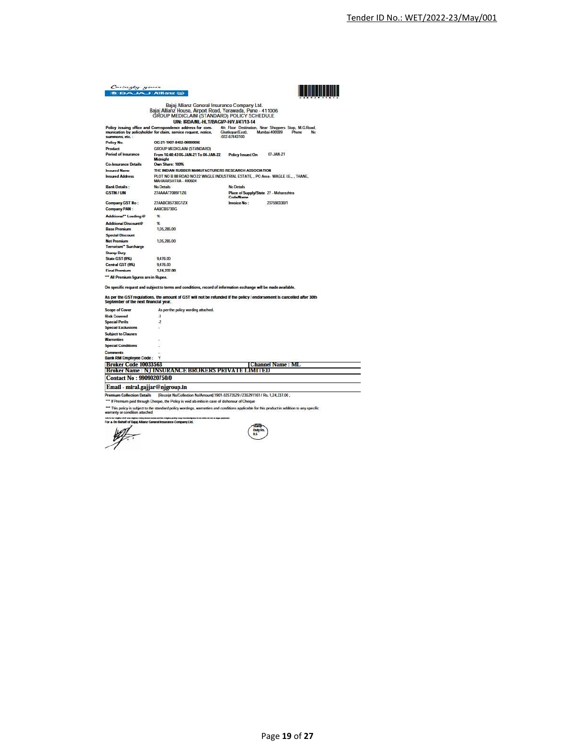| Cartergly yours<br><b>15 IBA JA JAHanz (II)</b> |                                                                                                                                                                                                  |                                                                                                 |                                                                                       |
|-------------------------------------------------|--------------------------------------------------------------------------------------------------------------------------------------------------------------------------------------------------|-------------------------------------------------------------------------------------------------|---------------------------------------------------------------------------------------|
|                                                 | Bajaj Allianz General Insurance Company Ltd.<br>Bajaj Allianz House, Airport Road, Yerawada, Pune - 411006<br>GROUP MEDICLAIM (STANDARD) POLICY SCHEDULE<br>UIN: IRDA/NL-HLT/BAGVP-H/V.V47/13-14 |                                                                                                 |                                                                                       |
|                                                 | Policy issuing office and Correspondence address for com-<br>munication by policyholder for claim, service request, notice,                                                                      | Ghatkopar(East),                                                                                | 4th Floor Destination. Near Shoppers Stop, M.G.Road.<br>Mumbai. 400089<br>Phone<br>No |
| summons, etc. :                                 |                                                                                                                                                                                                  | $-022.67443100$                                                                                 |                                                                                       |
| Policy No.                                      | OG-21-1907-8402-00000096                                                                                                                                                                         |                                                                                                 |                                                                                       |
| Product<br>Period of Insurance                  | GROUP MEDICLAIM (STANDARD)                                                                                                                                                                       |                                                                                                 |                                                                                       |
|                                                 | From 16:48:43 05-JAN-21 To 04-JAN-22<br>Midnight                                                                                                                                                 | Policy Issued On                                                                                | 07-JAN-21                                                                             |
| <b>Co-Insurance Details</b>                     | Own Share: 100%                                                                                                                                                                                  |                                                                                                 |                                                                                       |
| <b>Insured Name</b>                             | THE INDIAN RUBBER MANUFACTURERS RESEARCH ASSOCIATION                                                                                                                                             |                                                                                                 |                                                                                       |
| <b>Insured Address</b>                          | PLOT NO B 88 ROAD NO 22 WAGLE INDUSTRIAL ESTATE, , PO Area - WAGLE LE., , THANE,<br>MAHARASHTRA - 400604                                                                                         |                                                                                                 |                                                                                       |
| <b>Bank Details:</b>                            | No Details                                                                                                                                                                                       | No Details                                                                                      |                                                                                       |
| <b>GSTIN/UIN</b>                                | 27AAAA17089F1Z6                                                                                                                                                                                  | Place of Supply/State 27 - Maharashtra<br><b>Code/Name</b>                                      |                                                                                       |
| Company GST No:                                 | 27AABCB5730G1ZX                                                                                                                                                                                  | Invoice No:                                                                                     | 237590330/1                                                                           |
| Company PAN:                                    | AABCB5730G                                                                                                                                                                                       |                                                                                                 |                                                                                       |
| Additional" Loading @                           | $\propto$                                                                                                                                                                                        |                                                                                                 |                                                                                       |
| Additional Discount®                            | $\propto$                                                                                                                                                                                        |                                                                                                 |                                                                                       |
| <b>Base Premium</b>                             | 1,05,285,00                                                                                                                                                                                      |                                                                                                 |                                                                                       |
| <b>Special Discount</b>                         |                                                                                                                                                                                                  |                                                                                                 |                                                                                       |
| <b>Net Premium</b>                              | 1,05,285.00                                                                                                                                                                                      |                                                                                                 |                                                                                       |
| Terrorism" Surcharge                            |                                                                                                                                                                                                  |                                                                                                 |                                                                                       |
| <b>Stamp Duty</b>                               |                                                                                                                                                                                                  |                                                                                                 |                                                                                       |
| State GST (9%)                                  | 9,476.00                                                                                                                                                                                         |                                                                                                 |                                                                                       |
| Central GST (9%)                                | 9,476.00                                                                                                                                                                                         |                                                                                                 |                                                                                       |
| <b>Final Premium</b>                            | 1,24,237.00                                                                                                                                                                                      |                                                                                                 |                                                                                       |
| "" All Premium figures are in Rupee.            |                                                                                                                                                                                                  |                                                                                                 |                                                                                       |
|                                                 | On specific request and subject to terms and conditions, record of information exchange will be made available.                                                                                  |                                                                                                 |                                                                                       |
| September of the next financial year.           | As per the GST regulations, the amount of GST will not be refunded if the policy / endorsement is cancelled after 30th                                                                           |                                                                                                 |                                                                                       |
| <b>Scope of Cover</b>                           | As per the policy wording attached.                                                                                                                                                              |                                                                                                 |                                                                                       |
| <b>Risk Covered</b>                             | -1                                                                                                                                                                                               |                                                                                                 |                                                                                       |
| <b>Special Perils</b>                           | $\overline{2}$                                                                                                                                                                                   |                                                                                                 |                                                                                       |
| <b>Special Exclusions</b>                       |                                                                                                                                                                                                  |                                                                                                 |                                                                                       |
| <b>Subject to Clauses</b>                       |                                                                                                                                                                                                  |                                                                                                 |                                                                                       |
| <b>Warranties</b>                               |                                                                                                                                                                                                  |                                                                                                 |                                                                                       |
| <b>Special Conditions</b>                       |                                                                                                                                                                                                  |                                                                                                 |                                                                                       |
| Comments                                        |                                                                                                                                                                                                  |                                                                                                 |                                                                                       |
| <b>Bank RM Employee Code:</b>                   |                                                                                                                                                                                                  |                                                                                                 |                                                                                       |
| <b>Broker Code 10033563</b>                     |                                                                                                                                                                                                  |                                                                                                 | <b>Channel Name: ML</b>                                                               |
|                                                 | <b>Broker Name: NJ INSURANCE BROKERS PRIVATE LIMITED</b>                                                                                                                                         |                                                                                                 |                                                                                       |
| <b>Contact No: 9909020750/0</b>                 |                                                                                                                                                                                                  |                                                                                                 |                                                                                       |
| Email - miral.gajjar@njgroup.in                 |                                                                                                                                                                                                  |                                                                                                 |                                                                                       |
| <b>Premium Collection Details</b>               | [Receipt No/Collection No/Amount] 1901-02573529 / 235291161 / Rs. 1,24,237.00,                                                                                                                   |                                                                                                 |                                                                                       |
|                                                 |                                                                                                                                                                                                  | *** If Premium paid through Cheque, the Policy is void ab-initio in case of dishonour of Cheque |                                                                                       |

e mem are ha udgha polis suy clusterájne.<br>Gerverző Insurrance Company Ltd.

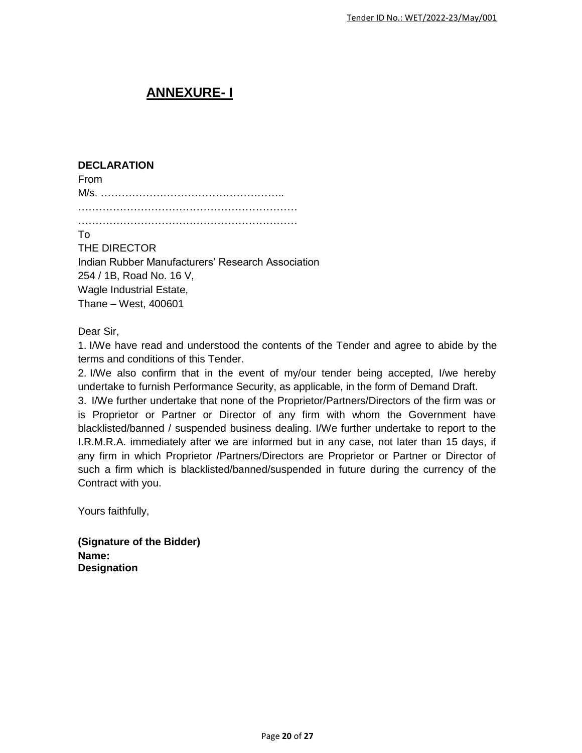# **ANNEXURE- I**

### **DECLARATION**

From M/s. ……………………………………………..

………………………………………………………

### To

THE DIRECTOR Indian Rubber Manufacturers' Research Association 254 / 1B, Road No. 16 V, Wagle Industrial Estate, Thane – West, 400601

## Dear Sir,

1. I/We have read and understood the contents of the Tender and agree to abide by the terms and conditions of this Tender.

2. I/We also confirm that in the event of my/our tender being accepted, I/we hereby undertake to furnish Performance Security, as applicable, in the form of Demand Draft.

3. I/We further undertake that none of the Proprietor/Partners/Directors of the firm was or is Proprietor or Partner or Director of any firm with whom the Government have blacklisted/banned / suspended business dealing. I/We further undertake to report to the I.R.M.R.A. immediately after we are informed but in any case, not later than 15 days, if any firm in which Proprietor /Partners/Directors are Proprietor or Partner or Director of such a firm which is blacklisted/banned/suspended in future during the currency of the Contract with you.

Yours faithfully,

**(Signature of the Bidder) Name: Designation**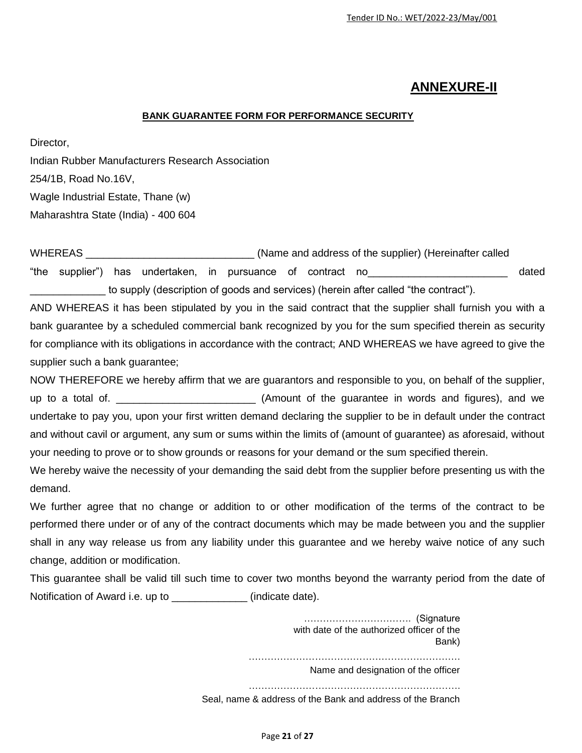## **ANNEXURE-II**

#### **BANK GUARANTEE FORM FOR PERFORMANCE SECURITY**

Director,

Indian Rubber Manufacturers Research Association 254/1B, Road No.16V, Wagle Industrial Estate, Thane (w) Maharashtra State (India) - 400 604

WHEREAS \_\_\_\_\_\_\_\_\_\_\_\_\_\_\_\_\_\_\_\_\_\_\_\_\_\_\_\_\_\_\_\_\_\_(Name and address of the supplier) (Hereinafter called "the supplier") has undertaken, in pursuance of contract no\_\_\_\_\_\_\_\_\_\_\_\_\_\_\_\_\_\_\_\_\_\_\_\_ dated to supply (description of goods and services) (herein after called "the contract").

AND WHEREAS it has been stipulated by you in the said contract that the supplier shall furnish you with a bank guarantee by a scheduled commercial bank recognized by you for the sum specified therein as security for compliance with its obligations in accordance with the contract; AND WHEREAS we have agreed to give the supplier such a bank guarantee;

NOW THEREFORE we hereby affirm that we are guarantors and responsible to you, on behalf of the supplier, up to a total of. \_\_\_\_\_\_\_\_\_\_\_\_\_\_\_\_\_\_\_\_\_\_\_\_ (Amount of the guarantee in words and figures), and we undertake to pay you, upon your first written demand declaring the supplier to be in default under the contract and without cavil or argument, any sum or sums within the limits of (amount of guarantee) as aforesaid, without your needing to prove or to show grounds or reasons for your demand or the sum specified therein.

We hereby waive the necessity of your demanding the said debt from the supplier before presenting us with the demand.

We further agree that no change or addition to or other modification of the terms of the contract to be performed there under or of any of the contract documents which may be made between you and the supplier shall in any way release us from any liability under this guarantee and we hereby waive notice of any such change, addition or modification.

This guarantee shall be valid till such time to cover two months beyond the warranty period from the date of Notification of Award i.e. up to **a contract (indicate date).** 

> ……………………………. (Signature with date of the authorized officer of the Bank) …………………………………………………………. Name and designation of the officer …………………………………………………………. Seal, name & address of the Bank and address of the Branch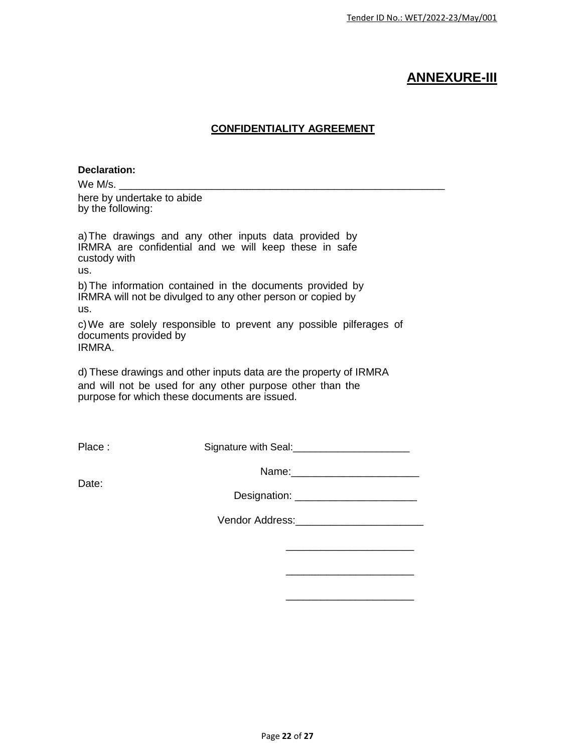## **ANNEXURE-III**

## **CONFIDENTIALITY AGREEMENT**

#### **Declaration:**

We M/s.

here by undertake to abide by the following:

a)The drawings and any other inputs data provided by IRMRA are confidential and we will keep these in safe custody with us.

b) The information contained in the documents provided by IRMRA will not be divulged to any other person or copied by us.

c)We are solely responsible to prevent any possible pilferages of documents provided by IRMRA.

d) These drawings and other inputs data are the property of IRMRA and will not be used for any other purpose other than the purpose for which these documents are issued.

Place : Signature with Seal: 2000 2010 2020

Name:

Date:

Designation: \_\_\_\_\_\_\_\_\_\_\_\_\_\_\_\_\_\_\_\_\_

Vendor Address: etc. and the venture of the venture of the venture of the venture of the venture of the venture of the venture of the venture of the venture of the venture of the venture of the venture of the venture of th

\_\_\_\_\_\_\_\_\_\_\_\_\_\_\_\_\_\_\_\_\_\_

\_\_\_\_\_\_\_\_\_\_\_\_\_\_\_\_\_\_\_\_\_\_

\_\_\_\_\_\_\_\_\_\_\_\_\_\_\_\_\_\_\_\_\_\_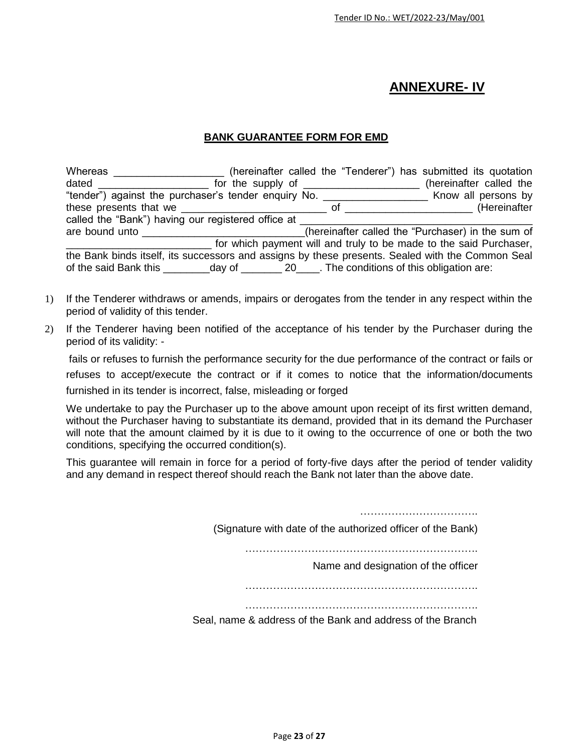# **ANNEXURE- IV**

#### **BANK GUARANTEE FORM FOR EMD**

| Whereas                                                                                                                                                                                                                              |                                                                                                                                                                                                                                                           |  | (hereinafter called the "Tenderer") has submitted its quotation                                  |
|--------------------------------------------------------------------------------------------------------------------------------------------------------------------------------------------------------------------------------------|-----------------------------------------------------------------------------------------------------------------------------------------------------------------------------------------------------------------------------------------------------------|--|--------------------------------------------------------------------------------------------------|
| dated                                                                                                                                                                                                                                | for the supply of $\frac{1}{2}$ meson in the supply of $\frac{1}{2}$ meson in the supply of $\frac{1}{2}$ meson in the supply of $\frac{1}{2}$ meson in the supply of $\frac{1}{2}$ meson in the supply of $\frac{1}{2}$ meson in the supply of $\frac{1$ |  | (hereinafter called the                                                                          |
| "tender") against the purchaser's tender enquiry No.                                                                                                                                                                                 |                                                                                                                                                                                                                                                           |  | Know all persons by                                                                              |
|                                                                                                                                                                                                                                      |                                                                                                                                                                                                                                                           |  | (Hereinafter                                                                                     |
| called the "Bank") having our registered office at                                                                                                                                                                                   |                                                                                                                                                                                                                                                           |  |                                                                                                  |
| are bound unto <b>contract and the set of the set of the set of the set of the set of the set of the set of the set of the set of the set of the set of the set of the set of the set of the set of the set of the set of the se</b> |                                                                                                                                                                                                                                                           |  | (hereinafter called the "Purchaser) in the sum of                                                |
|                                                                                                                                                                                                                                      |                                                                                                                                                                                                                                                           |  | for which payment will and truly to be made to the said Purchaser,                               |
|                                                                                                                                                                                                                                      |                                                                                                                                                                                                                                                           |  | the Bank binds itself, its successors and assigns by these presents. Sealed with the Common Seal |
|                                                                                                                                                                                                                                      |                                                                                                                                                                                                                                                           |  |                                                                                                  |

- 1) If the Tenderer withdraws or amends, impairs or derogates from the tender in any respect within the period of validity of this tender.
- 2) If the Tenderer having been notified of the acceptance of his tender by the Purchaser during the period of its validity: -

fails or refuses to furnish the performance security for the due performance of the contract or fails or refuses to accept/execute the contract or if it comes to notice that the information/documents furnished in its tender is incorrect, false, misleading or forged

We undertake to pay the Purchaser up to the above amount upon receipt of its first written demand, without the Purchaser having to substantiate its demand, provided that in its demand the Purchaser will note that the amount claimed by it is due to it owing to the occurrence of one or both the two conditions, specifying the occurred condition(s).

This guarantee will remain in force for a period of forty-five days after the period of tender validity and any demand in respect thereof should reach the Bank not later than the above date.

> ………………………………………… (Signature with date of the authorized officer of the Bank) ………………………………………………………….

> > Name and designation of the officer

………………………………………………………….

………………………………………………………….

Seal, name & address of the Bank and address of the Branch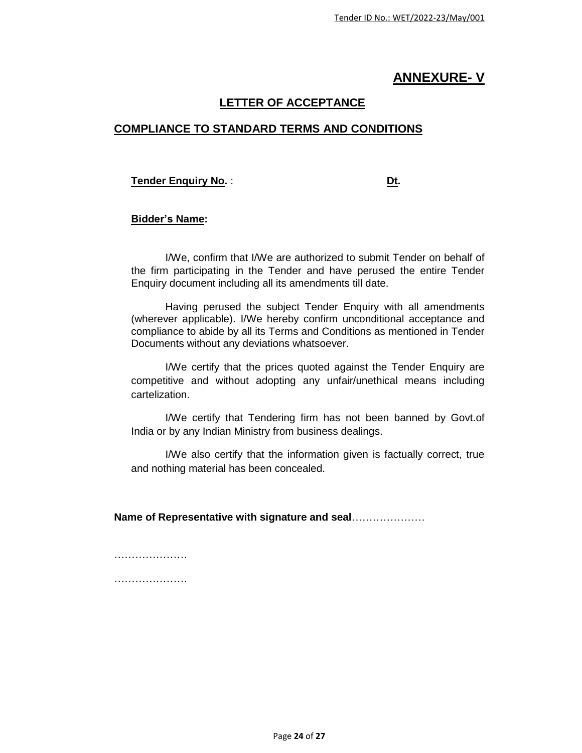## **ANNEXURE- V**

## **LETTER OF ACCEPTANCE**

## **COMPLIANCE TO STANDARD TERMS AND CONDITIONS**

**Tender Enquiry No. : Dt.** 

#### **Bidder's Name:**

I/We, confirm that I/We are authorized to submit Tender on behalf of the firm participating in the Tender and have perused the entire Tender Enquiry document including all its amendments till date.

Having perused the subject Tender Enquiry with all amendments (wherever applicable). I/We hereby confirm unconditional acceptance and compliance to abide by all its Terms and Conditions as mentioned in Tender Documents without any deviations whatsoever.

I/We certify that the prices quoted against the Tender Enquiry are competitive and without adopting any unfair/unethical means including cartelization.

I/We certify that Tendering firm has not been banned by Govt.of India or by any Indian Ministry from business dealings.

I/We also certify that the information given is factually correct, true and nothing material has been concealed.

**Name of Representative with signature and seal**…………………

…………………… ………………………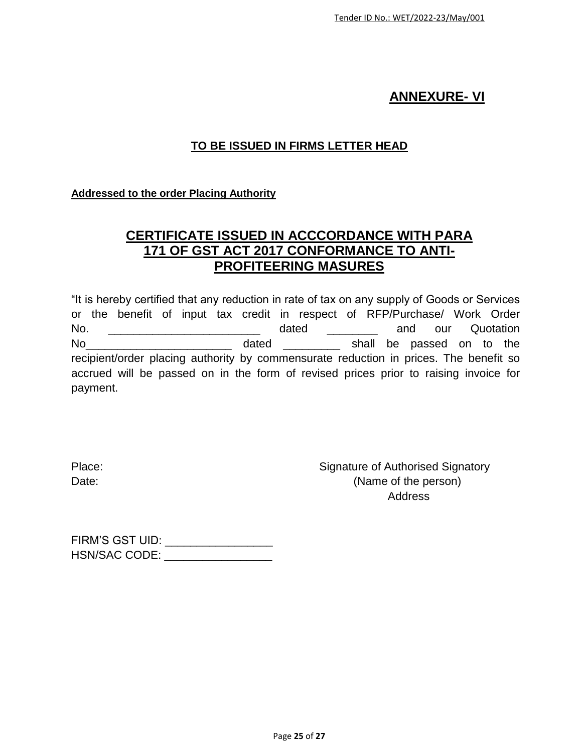## **ANNEXURE- VI**

## **TO BE ISSUED IN FIRMS LETTER HEAD**

## **Addressed to the order Placing Authority**

## **CERTIFICATE ISSUED IN ACCCORDANCE WITH PARA 171 OF GST ACT 2017 CONFORMANCE TO ANTI-PROFITEERING MASURES**

"It is hereby certified that any reduction in rate of tax on any supply of Goods or Services or the benefit of input tax credit in respect of RFP/Purchase/ Work Order No. \_\_\_\_\_\_\_\_\_\_\_\_\_\_\_\_\_\_\_\_\_\_\_\_\_\_\_ dated \_\_\_\_\_\_\_\_\_ and our Quotation No<sub>c</sub> and the state of the dated  $\frac{1}{2}$  and  $\frac{1}{2}$  shall be passed on to the recipient/order placing authority by commensurate reduction in prices. The benefit so accrued will be passed on in the form of revised prices prior to raising invoice for payment.

Place: Place: Signature of Authorised Signatory Date: (Name of the person) Address

| FIRM'S GST UID:      |  |
|----------------------|--|
| <b>HSN/SAC CODE:</b> |  |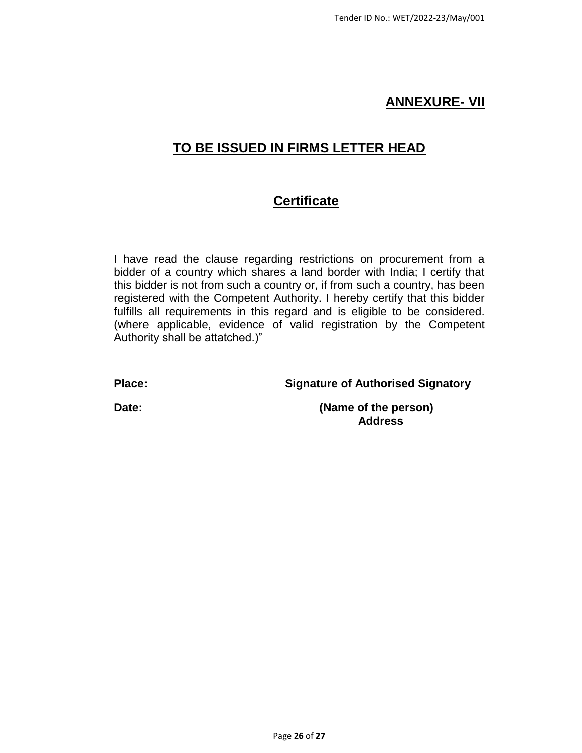## **ANNEXURE- VII**

# **TO BE ISSUED IN FIRMS LETTER HEAD**

# **Certificate**

I have read the clause regarding restrictions on procurement from a bidder of a country which shares a land border with India; I certify that this bidder is not from such a country or, if from such a country, has been registered with the Competent Authority. I hereby certify that this bidder fulfills all requirements in this regard and is eligible to be considered. (where applicable, evidence of valid registration by the Competent Authority shall be attatched.)"

**Place: Signature of Authorised Signatory**

**Date: (Name of the person) Address**